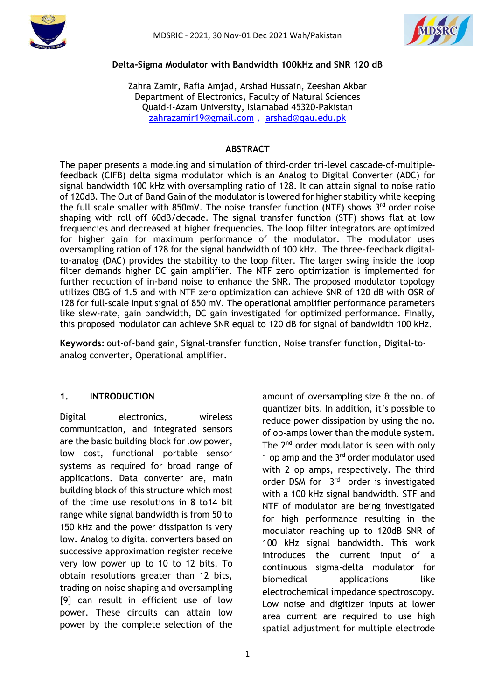



#### **Delta-Sigma Modulator with Bandwidth 100kHz and SNR 120 dB**

Zahra Zamir, Rafia Amjad, Arshad Hussain, Zeeshan Akbar Department of Electronics, Faculty of Natural Sciences Quaid-i-Azam University, Islamabad 45320-Pakistan [zahrazamir19@gmail.com](mailto:zahrazamir19@gmail.com) , [arshad@qau.edu.pk](mailto:arshad@qau.edu.pk)

#### **ABSTRACT**

The paper presents a modeling and simulation of third-order tri-level cascade-of-multiplefeedback (CIFB) delta sigma modulator which is an Analog to Digital Converter (ADC) for signal bandwidth 100 kHz with oversampling ratio of 128. It can attain signal to noise ratio of 120dB. The Out of Band Gain of the modulator is lowered for higher stability while keeping the full scale smaller with 850mV. The noise transfer function (NTF) shows  $3<sup>rd</sup>$  order noise shaping with roll off 60dB/decade. The signal transfer function (STF) shows flat at low frequencies and decreased at higher frequencies. The loop filter integrators are optimized for higher gain for maximum performance of the modulator. The modulator uses oversampling ration of 128 for the signal bandwidth of 100 kHz. The three-feedback digitalto-analog (DAC) provides the stability to the loop filter. The larger swing inside the loop filter demands higher DC gain amplifier. The NTF zero optimization is implemented for further reduction of in-band noise to enhance the SNR. The proposed modulator topology utilizes OBG of 1.5 and with NTF zero optimization can achieve SNR of 120 dB with OSR of 128 for full-scale input signal of 850 mV. The operational amplifier performance parameters like slew-rate, gain bandwidth, DC gain investigated for optimized performance. Finally, this proposed modulator can achieve SNR equal to 120 dB for signal of bandwidth 100 kHz.

**Keywords**: out-of-band gain, Signal-transfer function, Noise transfer function, Digital-toanalog converter, Operational amplifier.

## **1. INTRODUCTION**

Digital electronics, wireless communication, and integrated sensors are the basic building block for low power, low cost, functional portable sensor systems as required for broad range of applications. Data converter are, main building block of this structure which most of the time use resolutions in 8 to14 bit range while signal bandwidth is from 50 to 150 kHz and the power dissipation is very low. Analog to digital converters based on successive approximation register receive very low power up to 10 to 12 bits. To obtain resolutions greater than 12 bits, trading on noise shaping and oversampling [9] can result in efficient use of low power. These circuits can attain low power by the complete selection of the

for high performance resulting in the modulator reaching up to 120dB SNR of 100 kHz signal bandwidth. This work introduces the current input of a continuous sigma-delta modulator for biomedical applications like electrochemical impedance spectroscopy. Low noise and digitizer inputs at lower area current are required to use high spatial adjustment for multiple electrode

amount of oversampling size & the no. of quantizer bits. In addition, it's possible to reduce power dissipation by using the no. of op-amps lower than the module system. The 2<sup>nd</sup> order modulator is seen with only 1 op amp and the 3<sup>rd</sup> order modulator used with 2 op amps, respectively. The third order DSM for 3<sup>rd</sup> order is investigated with a 100 kHz signal bandwidth. STF and NTF of modulator are being investigated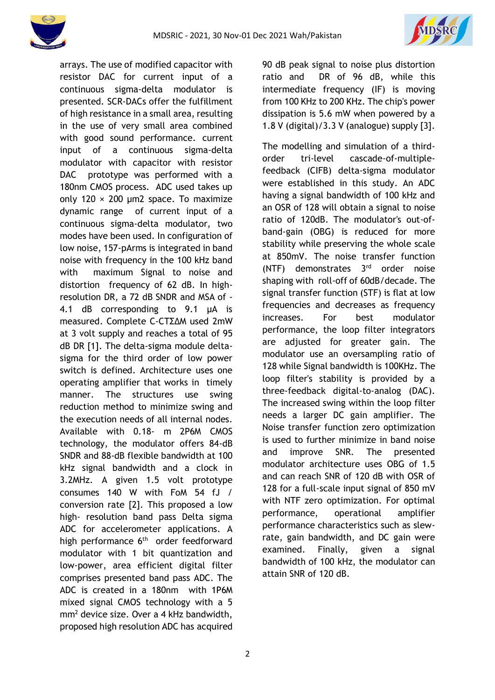



arrays. The use of modified capacitor with resistor DAC for current input of a continuous sigma-delta modulator is presented. SCR-DACs offer the fulfillment of high resistance in a small area, resulting in the use of very small area combined with good sound performance. current input of a continuous sigma-delta modulator with capacitor with resistor DAC prototype was performed with a 180nm CMOS process. ADC used takes up only 120  $\times$  200 µm2 space. To maximize dynamic range of current input of a continuous sigma-delta modulator, two modes have been used. In configuration of low noise, 157-pArms is integrated in band noise with frequency in the 100 kHz band with maximum Signal to noise and distortion frequency of 62 dB. In highresolution DR, a 72 dB SNDR and MSA of - 4.1 dB corresponding to 9.1 µA is measured. Complete C-CTΣ∆M used 2mW at 3 volt supply and reaches a total of 95 dB DR [1]. The delta-sigma module deltasigma for the third order of low power switch is defined. Architecture uses one operating amplifier that works in timely manner. The structures use swing reduction method to minimize swing and the execution needs of all internal nodes. Available with 0.18- m 2P6M CMOS technology, the modulator offers 84-dB SNDR and 88-dB flexible bandwidth at 100 kHz signal bandwidth and a clock in 3.2MHz. A given 1.5 volt prototype consumes 140 W with FoM 54 fJ / conversion rate [2]. This proposed a low high- resolution band pass Delta sigma ADC for accelerometer applications. A high performance 6<sup>th</sup> order feedforward modulator with 1 bit quantization and low-power, area efficient digital filter comprises presented band pass ADC. The ADC is created in a 180nm with 1P6M mixed signal CMOS technology with a 5 mm<sup>2</sup> device size. Over a 4 kHz bandwidth, proposed high resolution ADC has acquired 90 dB peak signal to noise plus distortion ratio and DR of 96 dB, while this intermediate frequency (IF) is moving from 100 KHz to 200 KHz. The chip's power dissipation is 5.6 mW when powered by a 1.8 V (digital)/3.3 V (analogue) supply [3].

The modelling and simulation of a thirdorder tri-level cascade-of-multiplefeedback (CIFB) delta-sigma modulator were established in this study. An ADC having a signal bandwidth of 100 kHz and an OSR of 128 will obtain a signal to noise ratio of 120dB. The modulator's out-ofband-gain (OBG) is reduced for more stability while preserving the whole scale at 850mV. The noise transfer function (NTF) demonstrates 3 rd order noise shaping with roll-off of 60dB/decade. The signal transfer function (STF) is flat at low frequencies and decreases as frequency increases. For best modulator performance, the loop filter integrators are adjusted for greater gain. The modulator use an oversampling ratio of 128 while Signal bandwidth is 100KHz. The loop filter's stability is provided by a three-feedback digital-to-analog (DAC). The increased swing within the loop filter needs a larger DC gain amplifier. The Noise transfer function zero optimization is used to further minimize in band noise and improve SNR. The presented modulator architecture uses OBG of 1.5 and can reach SNR of 120 dB with OSR of 128 for a full-scale input signal of 850 mV with NTF zero optimization. For optimal performance, operational amplifier performance characteristics such as slewrate, gain bandwidth, and DC gain were examined. Finally, given a signal bandwidth of 100 kHz, the modulator can attain SNR of 120 dB.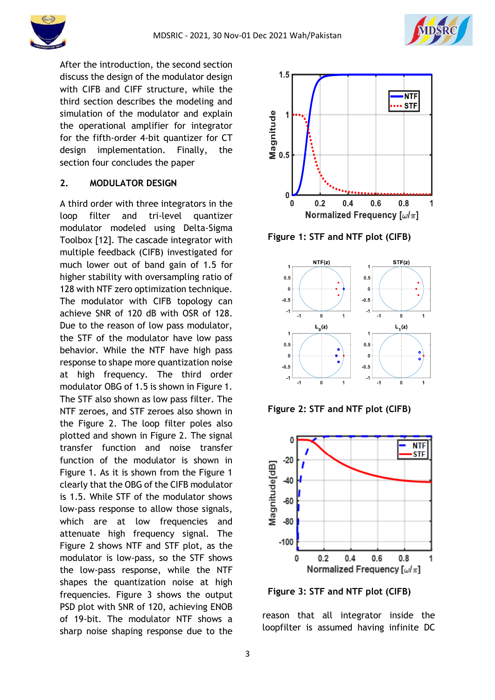



After the introduction, the second section discuss the design of the modulator design with CIFB and CIFF structure, while the third section describes the modeling and simulation of the modulator and explain the operational amplifier for integrator for the fifth-order 4-bit quantizer for CT design implementation. Finally, the section four concludes the paper

### **2. MODULATOR DESIGN**

A third order with three integrators in the loop filter and tri-level quantizer modulator modeled using Delta-Sigma Toolbox [12]. The cascade integrator with multiple feedback (CIFB) investigated for much lower out of band gain of 1.5 for higher stability with oversampling ratio of 128 with NTF zero optimization technique. The modulator with CIFB topology can achieve SNR of 120 dB with OSR of 128. Due to the reason of low pass modulator, the STF of the modulator have low pass behavior. While the NTF have high pass response to shape more quantization noise at high frequency. The third order modulator OBG of 1.5 is shown in Figure 1. The STF also shown as low pass filter. The NTF zeroes, and STF zeroes also shown in the Figure 2. The loop filter poles also plotted and shown in Figure 2. The signal transfer function and noise transfer function of the modulator is shown in Figure 1. As it is shown from the Figure 1 clearly that the OBG of the CIFB modulator is 1.5. While STF of the modulator shows low-pass response to allow those signals, which are at low frequencies and attenuate high frequency signal. The Figure 2 shows NTF and STF plot, as the modulator is low-pass, so the STF shows the low-pass response, while the NTF shapes the quantization noise at high frequencies. Figure 3 shows the output PSD plot with SNR of 120, achieving ENOB of 19-bit. The modulator NTF shows a sharp noise shaping response due to the



**Figure 1: STF and NTF plot (CIFB)**



**Figure 2: STF and NTF plot (CIFB)**



**Figure 3: STF and NTF plot (CIFB)**

reason that all integrator inside the loopfilter is assumed having infinite DC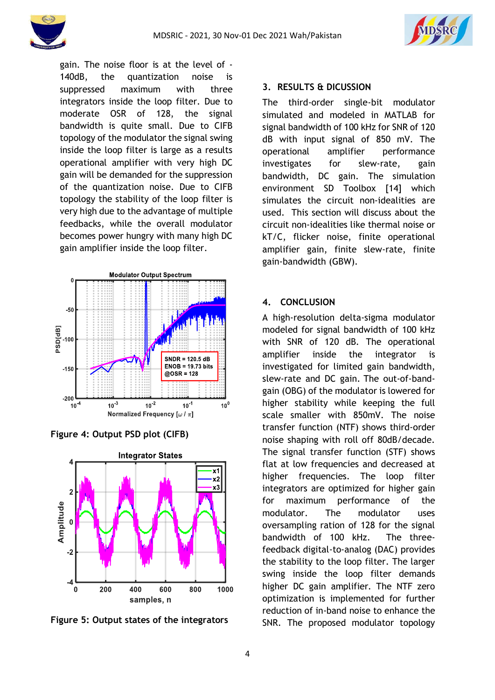

gain. The noise floor is at the level of - 140dB, the quantization noise is suppressed maximum with three integrators inside the loop filter. Due to moderate OSR of 128, the signal bandwidth is quite small. Due to CIFB topology of the modulator the signal swing inside the loop filter is large as a results operational amplifier with very high DC gain will be demanded for the suppression of the quantization noise. Due to CIFB topology the stability of the loop filter is very high due to the advantage of multiple feedbacks, while the overall modulator becomes power hungry with many high DC gain amplifier inside the loop filter.



**Figure 4: Output PSD plot (CIFB)**



**Figure 5: Output states of the integrators**

## **3. RESULTS & DICUSSION**

The third-order single-bit modulator simulated and modeled in MATLAB for signal bandwidth of 100 kHz for SNR of 120 dB with input signal of 850 mV. The operational amplifier performance investigates for slew-rate, gain bandwidth, DC gain. The simulation environment SD Toolbox [14] which simulates the circuit non-idealities are used. This section will discuss about the circuit non-idealities like thermal noise or kT/C, flicker noise, finite operational amplifier gain, finite slew-rate, finite gain-bandwidth (GBW).

### **4. CONCLUSION**

A high-resolution delta-sigma modulator modeled for signal bandwidth of 100 kHz with SNR of 120 dB. The operational amplifier inside the integrator is investigated for limited gain bandwidth, slew-rate and DC gain. The out-of-bandgain (OBG) of the modulator is lowered for higher stability while keeping the full scale smaller with 850mV. The noise transfer function (NTF) shows third-order noise shaping with roll off 80dB/decade. The signal transfer function (STF) shows flat at low frequencies and decreased at higher frequencies. The loop filter integrators are optimized for higher gain for maximum performance of the modulator. The modulator uses oversampling ration of 128 for the signal bandwidth of 100 kHz. The threefeedback digital-to-analog (DAC) provides the stability to the loop filter. The larger swing inside the loop filter demands higher DC gain amplifier. The NTF zero optimization is implemented for further reduction of in-band noise to enhance the SNR. The proposed modulator topology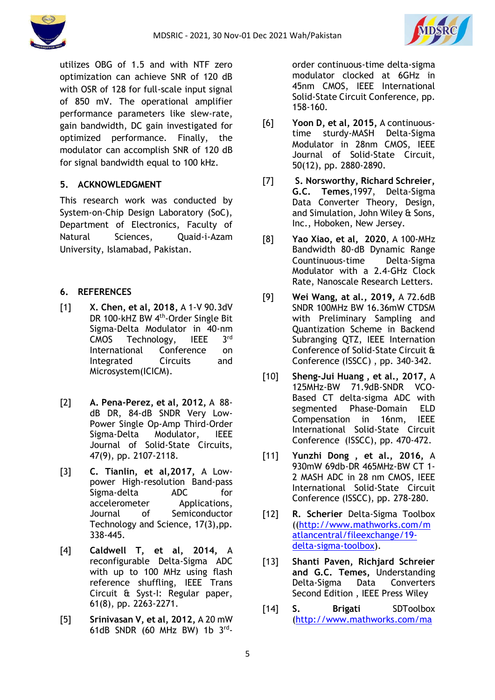



utilizes OBG of 1.5 and with NTF zero optimization can achieve SNR of 120 dB with OSR of 128 for full-scale input signal of 850 mV. The operational amplifier performance parameters like slew-rate, gain bandwidth, DC gain investigated for optimized performance. Finally, the modulator can accomplish SNR of 120 dB for signal bandwidth equal to 100 kHz.

# **5. ACKNOWLEDGMENT**

This research work was conducted by System-on-Chip Design Laboratory (SoC), Department of Electronics, Faculty of Natural Sciences, Quaid-i-Azam University, Islamabad, Pakistan.

# **6. REFERENCES**

- [1] **X. Chen, et al, 2018,** A 1-V 90.3dV DR 100-kHZ BW 4<sup>th</sup>-Order Single Bit Sigma-Delta Modulator in 40-nm CMOS Technology, IEEE 3rd International Conference on Integrated Circuits and Microsystem(ICICM).
- [2] **A. Pena-Perez, et al, 2012,** A 88 dB DR, 84-dB SNDR Very Low-Power Single Op-Amp Third-Order Sigma-Delta Modulator, IEEE Journal of Solid-State Circuits, 47(9), pp. 2107-2118.
- [3] **C. Tianlin, et al,2017,** A Lowpower High-resolution Band-pass Sigma-delta ADC for accelerometer Applications, Journal of Semiconductor Technology and Science, 17(3),pp. 338-445.
- [4] **Caldwell T, et al, 2014,** A reconfigurable Delta-Sigma ADC with up to 100 MHz using flash reference shuffling, IEEE Trans Circuit & Syst-I: Regular paper, 61(8), pp. 2263-2271.
- [5] **Srinivasan V, et al, 2012,** A 20 mW 61dB SNDR (60 MHz BW) 1b  $3^{\text{rd}}$ -

order continuous-time delta-sigma modulator clocked at 6GHz in 45nm CMOS, IEEE International Solid-State Circuit Conference, pp. 158-160.

- [6] **Yoon D, et al, 2015,** A continuoustime sturdy-MASH Delta-Sigma Modulator in 28nm CMOS, IEEE Journal of Solid-State Circuit, 50(12), pp. 2880-2890.
- [7] **S. Norsworthy, Richard Schreier, G.C. Temes**,1997, Delta-Sigma Data Converter Theory, Design, and Simulation, John Wiley & Sons, Inc., Hoboken, New Jersey.
- [8] **Yao Xiao, et al, 2020**, A 100-MHz Bandwidth 80-dB Dynamic Range Countinuous-time Delta-Sigma Modulator with a 2.4-GHz Clock Rate, Nanoscale Research Letters.
- [9] **Wei Wang, at al., 2019,** A 72.6dB SNDR 100MHz BW 16.36mW CTDSM with Preliminary Sampling and Quantization Scheme in Backend Subranging QTZ, IEEE Internation Conference of Solid-State Circuit & Conference (ISSCC) , pp. 340-342.
- [10] **Sheng-Jui Huang , et al., 2017,** A 125MHz-BW 71.9dB-SNDR VCO-Based CT delta-sigma ADC with segmented Phase-Domain ELD Compensation in 16nm, IEEE International Solid-State Circuit Conference (ISSCC), pp. 470-472.
- [11] **Yunzhi Dong , et al., 2016,** A 930mW 69db-DR 465MHz-BW CT 1- 2 MASH ADC in 28 nm CMOS, IEEE International Solid-State Circuit Conference (ISSCC), pp. 278-280.
- [12] **R. Scherier** Delta-Sigma Toolbox ([\(http://www.mathworks.com/m](http://www.mathworks.com/matlancentral/fileexchange/19-delta-sigma-toolbox) [atlancentral/fileexchange/19](http://www.mathworks.com/matlancentral/fileexchange/19-delta-sigma-toolbox) [delta-sigma-toolbox\)](http://www.mathworks.com/matlancentral/fileexchange/19-delta-sigma-toolbox).
- [13] **Shanti Paven, Richjard Schreier and G.C. Temes,** Understanding Delta-Sigma Data Converters Second Edition , IEEE Press Wiley
- [14] **S. Brigati** SDToolbox [\(http://www.mathworks.com/ma](http://www.mathworks.com/matlabcentral/fileexchange/2460-sd-toolbox)